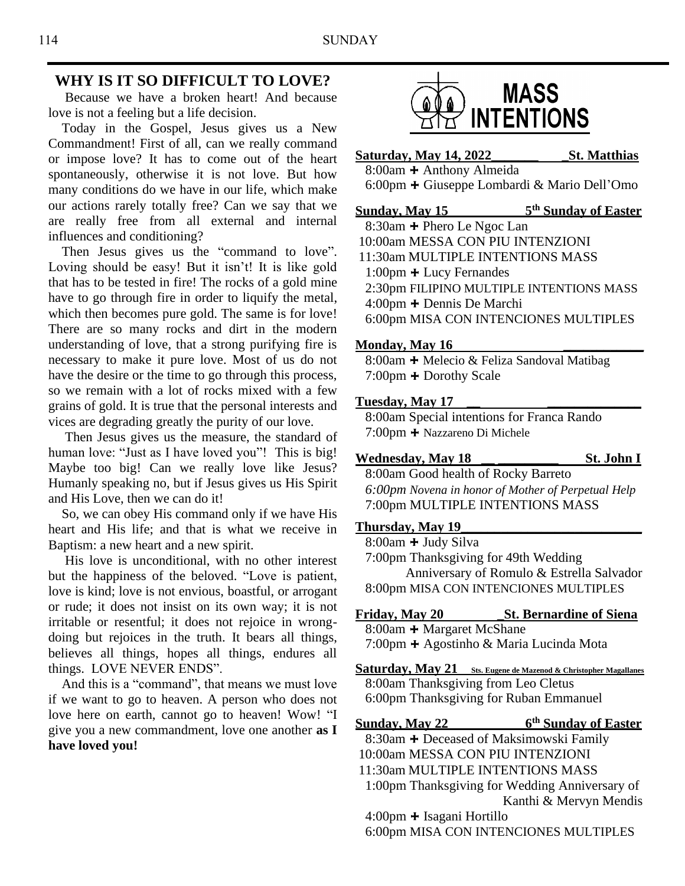### **WHY IS IT SO DIFFICULT TO LOVE?**

 Because we have a broken heart! And because love is not a feeling but a life decision.

 Today in the Gospel, Jesus gives us a New Commandment! First of all, can we really command or impose love? It has to come out of the heart spontaneously, otherwise it is not love. But how many conditions do we have in our life, which make our actions rarely totally free? Can we say that we are really free from all external and internal influences and conditioning?

Then Jesus gives us the "command to love". Loving should be easy! But it isn't! It is like gold that has to be tested in fire! The rocks of a gold mine have to go through fire in order to liquify the metal, which then becomes pure gold. The same is for love! There are so many rocks and dirt in the modern understanding of love, that a strong purifying fire is necessary to make it pure love. Most of us do not have the desire or the time to go through this process, so we remain with a lot of rocks mixed with a few grains of gold. It is true that the personal interests and vices are degrading greatly the purity of our love.

 Then Jesus gives us the measure, the standard of human love: "Just as I have loved you"! This is big! Maybe too big! Can we really love like Jesus? Humanly speaking no, but if Jesus gives us His Spirit and His Love, then we can do it!

 So, we can obey His command only if we have His heart and His life; and that is what we receive in Baptism: a new heart and a new spirit.

 His love is unconditional, with no other interest but the happiness of the beloved. "Love is patient, love is kind; love is not envious, boastful, or arrogant or rude; it does not insist on its own way; it is not irritable or resentful; it does not rejoice in wrongdoing but rejoices in the truth. It bears all things, believes all things, hopes all things, endures all things. LOVE NEVER ENDS".

 And this is a "command", that means we must love if we want to go to heaven. A person who does not love here on earth, cannot go to heaven! Wow! "I give you a new commandment, love one another **as I have loved you!**



**Saturday, May 14, 2022\_\_\_\_\_\_\_ \_St. Matthias** 8:00am **+** Anthony Almeida

6:00pm **+** Giuseppe Lombardi & Mario Dell'Omo

**Sunday, May 15 th Sunday of Easter** 8:30am **+** Phero Le Ngoc Lan 10:00am MESSA CON PIU INTENZIONI 11:30am MULTIPLE INTENTIONS MASS 1:00pm **+** Lucy Fernandes 2:30pm FILIPINO MULTIPLE INTENTIONS MASS 4:00pm **+** Dennis De Marchi 6:00pm MISA CON INTENCIONES MULTIPLES

#### **Monday, May 16 \_\_\_\_\_\_\_\_\_\_\_\_**

8:00am **+** Melecio & Feliza Sandoval Matibag 7:00pm **+** Dorothy Scale

#### **Tuesday, May 17 \_\_ \_\_\_\_\_\_\_\_\_\_\_\_\_\_**

8:00am Special intentions for Franca Rando 7:00pm **+** Nazzareno Di Michele

**Wednesday, May 18 \_\_ \_\_\_\_\_\_\_\_\_ St. John I**

8:00am Good health of Rocky Barreto *6:00pm Novena in honor of Mother of Perpetual Help* 7:00pm MULTIPLE INTENTIONS MASS

### **Thursday, May 19\_\_\_\_\_\_\_\_\_\_\_\_\_\_\_\_\_\_\_\_\_\_\_\_\_\_\_**

 8:00am **+** Judy Silva 7:00pm Thanksgiving for 49th Wedding Anniversary of Romulo & Estrella Salvador 8:00pm MISA CON INTENCIONES MULTIPLES

### **Friday, May 20 \_St. Bernardine of Siena** 8:00am **+** Margaret McShane 7:00pm **+** Agostinho & Maria Lucinda Mota

**Saturday, May 21 Sts. Eugene de Mazenod & Christopher Magallanes** 8:00am Thanksgiving from Leo Cletus 6:00pm Thanksgiving for Ruban Emmanuel

**Sunday, May 22 6 th Sunday of Easter** 8:30am **+** Deceased of Maksimowski Family 10:00am MESSA CON PIU INTENZIONI 11:30am MULTIPLE INTENTIONS MASS 1:00pm Thanksgiving for Wedding Anniversary of Kanthi & Mervyn Mendis 4:00pm **+** Isagani Hortillo 6:00pm MISA CON INTENCIONES MULTIPLES